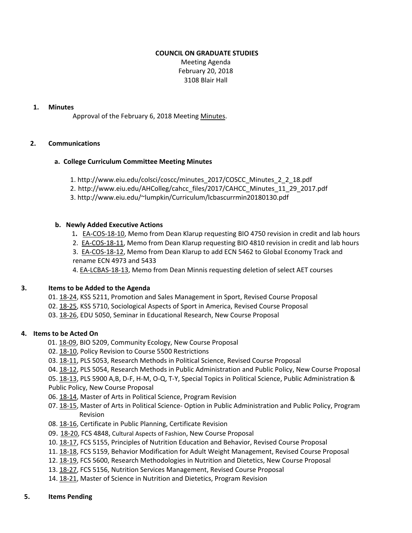## **COUNCIL ON GRADUATE STUDIES**

Meeting Agenda February 20, 2018 3108 Blair Hall

## **1. Minutes**

Approval of the February 6, 2018 Meeting [Minutes.](http://castle.eiu.edu/eiucgs/currentminutes/Minutes2-06-18.pdf)

## **2. Communications**

## **a. College Curriculum Committee Meeting Minutes**

- 1. [http://www.eiu.edu/colsci/coscc/minutes\\_2017/COSCC\\_Minutes\\_2\\_2\\_18.pdf](http://www.eiu.edu/colsci/coscc/minutes_2017/COSCC_Minutes_2_2_18.pdf)
- 2. [http://www.eiu.edu/AHColleg/cahcc\\_files/2017/CAHCC\\_Minutes\\_11\\_29\\_2017.pdf](http://www.eiu.edu/AHColleg/cahcc_files/2017/CAHCC_Minutes_11_29_2017.pdf)
- 3. <http://www.eiu.edu/~lumpkin/Curriculum/lcbascurrmin20180130.pdf>

## **b. Newly Added Executive Actions**

- 1**.** EA‐[COS](http://castle.eiu.edu/eiucgs/exec-actions/EA-COS-18-10.pdf)‐18‐10, Memo from Dean Klarup requesting BIO 4750 revision in credit and lab hours
- 2. EA‐[COS](http://castle.eiu.edu/eiucgs/exec-actions/EA-COS-18-11.pdf)‐18‐11, Memo from Dean Klarup requesting BIO 4810 revision in credit and lab hours
- 3. EA-[COS](http://castle.eiu.edu/eiucgs/exec-actions/EA-COS-18-12.pdf)-18-12, Memo from Dean Klarup to add ECN 5462 to Global Economy Track and rename ECN 4973 and 5433

4. EA-[LCBAS](http://castle.eiu.edu/eiucgs/exec-actions/EA-LCBAS-18-13.pdf)-18-13, Memo from Dean Minnis requesting deletion of select AET courses

## **3. Items to be Added to the Agenda**

- 01. 18‐[24,](http://castle.eiu.edu/eiucgs/currentagendaitems/agenda18-24.pdf) KSS 5211, Promotion and Sales Management in Sport, Revised Course Proposal
- 02. 18‐[25,](http://castle.eiu.edu/eiucgs/currentagendaitems/agenda18-25.pdf) KSS 5710, Sociological Aspects of Sport in America, Revised Course Proposal
- 03. 18‐[26,](http://castle.eiu.edu/eiucgs/currentagendaitems/agenda18-26.pdf) EDU 5050, Seminar in Educational Research, New Course Proposal

# **4. Items to be Acted On**

- 01. 18‐[09,](http://castle.eiu.edu/eiucgs/currentagendaitems/agenda18-09.pdf) BIO 5209, Community Ecology, New Course Proposal
- 02. 18‐[10,](http://castle.eiu.edu/eiucgs/currentagendaitems/agenda18-10.pdf) Policy Revision to Course 5500 Restrictions
- 03. 18‐[11,](http://castle.eiu.edu/eiucgs/currentagendaitems/agenda18-11.pdf) PLS 5053, Research Methods in Political Science, Revised Course Proposal
- 04. 18-[12,](http://castle.eiu.edu/eiucgs/currentagendaitems/agenda18-12.pdf) PLS 5054, Research Methods in Public Administration and Public Policy, New Course Proposal

05. 18‐[13,](http://castle.eiu.edu/eiucgs/currentagendaitems/agenda18-13.pdf) PLS 5900 A,B, D‐F, H‐M, O‐Q, T‐Y, Special Topics in Political Science, Public Administration & Public Policy, New Course Proposal

- 06. 18‐[14,](http://castle.eiu.edu/eiucgs/currentagendaitems/agenda18-14.pdf) Master of Arts in Political Science, Program Revision
- 07. 18-[15,](http://castle.eiu.edu/eiucgs/currentagendaitems/agenda18-15.pdf) Master of Arts in Political Science- Option in Public Administration and Public Policy, Program Revision
- 08. 18‐[16,](http://castle.eiu.edu/eiucgs/currentagendaitems/agenda18-16.pdf) Certificate in Public Planning, Certificate Revision
- 09. 18‐[20,](http://castle.eiu.edu/eiucgs/currentagendaitems/agenda18-20.pdf) FCS 4848, Cultural Aspects of Fashion, New Course Proposal
- 10. 18‐[17,](http://castle.eiu.edu/eiucgs/currentagendaitems/agenda18-17.pdf) FCS 5155, Principles of Nutrition Education and Behavior, Revised Course Proposal
- 11. 18‐[18,](http://castle.eiu.edu/eiucgs/currentagendaitems/agenda18-18.pdf) FCS 5159, Behavior Modification for Adult Weight Management, Revised Course Proposal
- 12. [18](http://castle.eiu.edu/eiucgs/currentagendaitems/agenda18-19.pdf)-19, FCS 5600, Research Methodologies in Nutrition and Dietetics, New Course Proposal
- 13. 18-[27,](http://castle.eiu.edu/eiucgs/currentagendaitems/agenda18-27.pdf) FCS 5156, Nutrition Services Management, Revised Course Proposal
- 14. [18](http://castle.eiu.edu/eiucgs/currentagendaitems/agenda18-21.pdf)‐21, Master of Science in Nutrition and Dietetics, Program Revision
- **5. Items Pending**